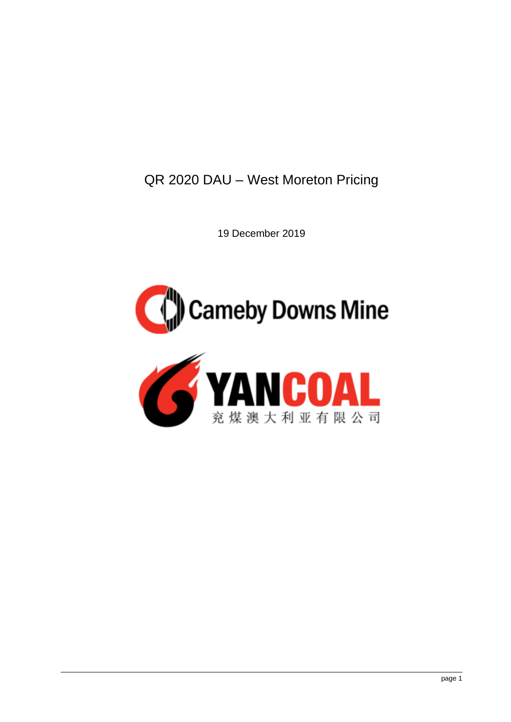QR 2020 DAU – West Moreton Pricing

19 December 2019



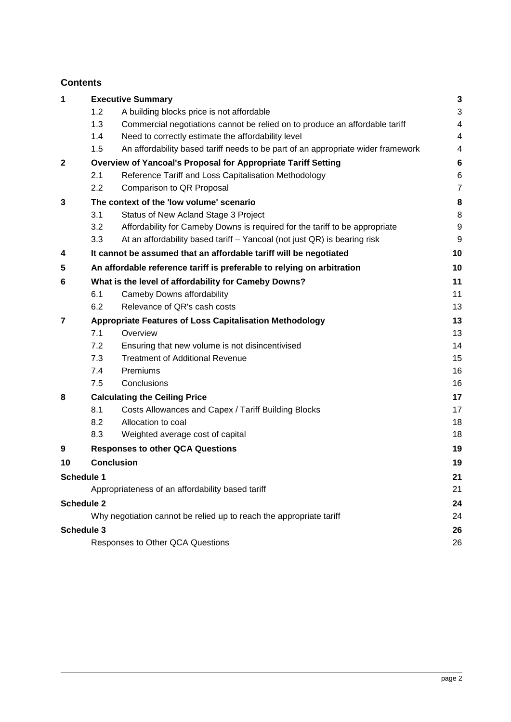# **Contents**

| 1                 |                                                                | <b>Executive Summary</b>                                                         | 3              |
|-------------------|----------------------------------------------------------------|----------------------------------------------------------------------------------|----------------|
|                   | 1.2                                                            | A building blocks price is not affordable                                        | 3              |
|                   | 1.3                                                            | Commercial negotiations cannot be relied on to produce an affordable tariff      | 4              |
|                   | 1.4                                                            | Need to correctly estimate the affordability level                               | 4              |
|                   | 1.5                                                            | An affordability based tariff needs to be part of an appropriate wider framework | 4              |
| $\mathbf{2}$      | Overview of Yancoal's Proposal for Appropriate Tariff Setting  |                                                                                  |                |
|                   | 2.1                                                            | Reference Tariff and Loss Capitalisation Methodology                             | 6              |
|                   | 2.2                                                            | Comparison to QR Proposal                                                        | $\overline{7}$ |
| 3                 | The context of the 'low volume' scenario                       |                                                                                  |                |
|                   | 3.1                                                            | Status of New Acland Stage 3 Project                                             | 8              |
|                   | 3.2                                                            | Affordability for Cameby Downs is required for the tariff to be appropriate      | 9              |
|                   | 3.3                                                            | At an affordability based tariff - Yancoal (not just QR) is bearing risk         | 9              |
| 4                 |                                                                | It cannot be assumed that an affordable tariff will be negotiated                | 10             |
| 5                 |                                                                | An affordable reference tariff is preferable to relying on arbitration           | 10             |
| 6                 |                                                                | What is the level of affordability for Cameby Downs?                             | 11             |
|                   | 6.1                                                            | Cameby Downs affordability                                                       | 11             |
|                   | 6.2                                                            | Relevance of QR's cash costs                                                     | 13             |
| 7                 | <b>Appropriate Features of Loss Capitalisation Methodology</b> |                                                                                  |                |
|                   | 7.1                                                            | Overview                                                                         | 13             |
|                   | 7.2                                                            | Ensuring that new volume is not disincentivised                                  | 14             |
|                   | 7.3                                                            | <b>Treatment of Additional Revenue</b>                                           | 15             |
|                   | 7.4                                                            | Premiums                                                                         | 16             |
|                   | 7.5                                                            | Conclusions                                                                      | 16             |
| 8                 | <b>Calculating the Ceiling Price</b>                           |                                                                                  | 17             |
|                   | 8.1                                                            | Costs Allowances and Capex / Tariff Building Blocks                              | 17             |
|                   | 8.2                                                            | Allocation to coal                                                               | 18             |
|                   | 8.3                                                            | Weighted average cost of capital                                                 | 18             |
| 9                 |                                                                | <b>Responses to other QCA Questions</b>                                          | 19             |
| 10                |                                                                | <b>Conclusion</b>                                                                | 19             |
| <b>Schedule 1</b> |                                                                |                                                                                  | 21             |
|                   |                                                                | Appropriateness of an affordability based tariff                                 | 21             |
| <b>Schedule 2</b> |                                                                |                                                                                  | 24             |
|                   |                                                                | Why negotiation cannot be relied up to reach the appropriate tariff              | 24             |
| <b>Schedule 3</b> |                                                                |                                                                                  | 26             |
|                   |                                                                | Responses to Other QCA Questions                                                 | 26             |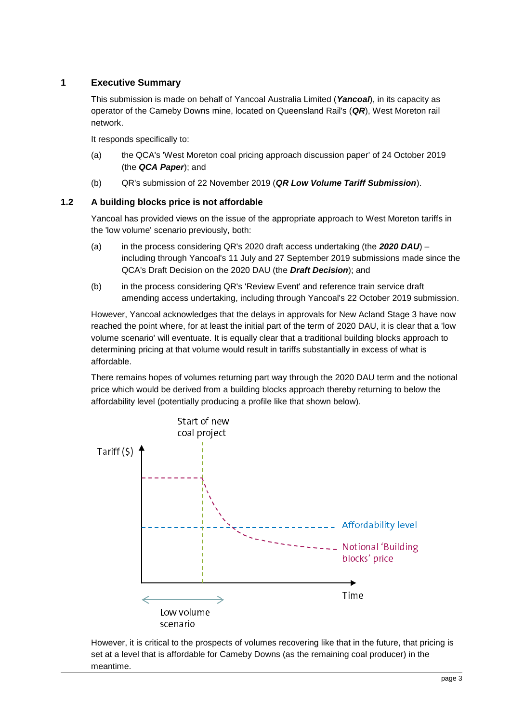# <span id="page-2-0"></span>**1 Executive Summary**

This submission is made on behalf of Yancoal Australia Limited (*Yancoal*), in its capacity as operator of the Cameby Downs mine, located on Queensland Rail's (*QR*), West Moreton rail network.

It responds specifically to:

- (a) the QCA's 'West Moreton coal pricing approach discussion paper' of 24 October 2019 (the *QCA Paper*); and
- (b) QR's submission of 22 November 2019 (*QR Low Volume Tariff Submission*).

### <span id="page-2-1"></span>**1.2 A building blocks price is not affordable**

Yancoal has provided views on the issue of the appropriate approach to West Moreton tariffs in the 'low volume' scenario previously, both:

- (a) in the process considering QR's 2020 draft access undertaking (the *2020 DAU*) including through Yancoal's 11 July and 27 September 2019 submissions made since the QCA's Draft Decision on the 2020 DAU (the *Draft Decision*); and
- (b) in the process considering QR's 'Review Event' and reference train service draft amending access undertaking, including through Yancoal's 22 October 2019 submission.

However, Yancoal acknowledges that the delays in approvals for New Acland Stage 3 have now reached the point where, for at least the initial part of the term of 2020 DAU, it is clear that a 'low volume scenario' will eventuate. It is equally clear that a traditional building blocks approach to determining pricing at that volume would result in tariffs substantially in excess of what is affordable.

There remains hopes of volumes returning part way through the 2020 DAU term and the notional price which would be derived from a building blocks approach thereby returning to below the affordability level (potentially producing a profile like that shown below).



However, it is critical to the prospects of volumes recovering like that in the future, that pricing is set at a level that is affordable for Cameby Downs (as the remaining coal producer) in the meantime.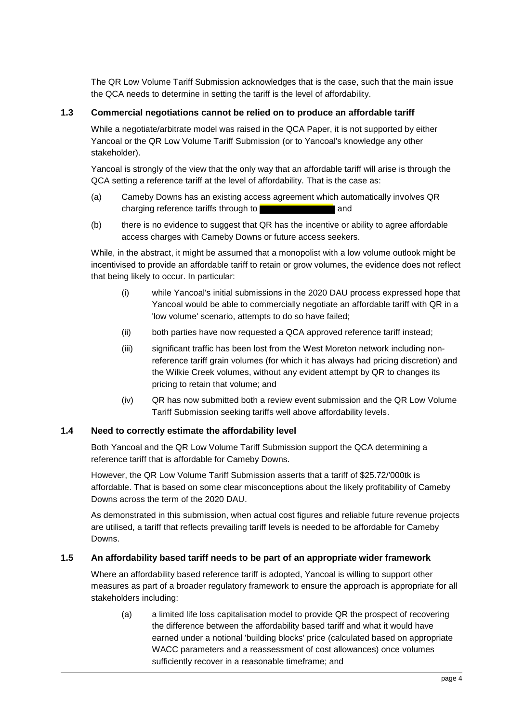The QR Low Volume Tariff Submission acknowledges that is the case, such that the main issue the QCA needs to determine in setting the tariff is the level of affordability.

### <span id="page-3-0"></span>**1.3 Commercial negotiations cannot be relied on to produce an affordable tariff**

While a negotiate/arbitrate model was raised in the QCA Paper, it is not supported by either Yancoal or the QR Low Volume Tariff Submission (or to Yancoal's knowledge any other stakeholder).

Yancoal is strongly of the view that the only way that an affordable tariff will arise is through the QCA setting a reference tariff at the level of affordability. That is the case as:

- (a) Cameby Downs has an existing access agreement which automatically involves QR charging reference tariffs through to **and** and
- (b) there is no evidence to suggest that QR has the incentive or ability to agree affordable access charges with Cameby Downs or future access seekers.

While, in the abstract, it might be assumed that a monopolist with a low volume outlook might be incentivised to provide an affordable tariff to retain or grow volumes, the evidence does not reflect that being likely to occur. In particular:

- (i) while Yancoal's initial submissions in the 2020 DAU process expressed hope that Yancoal would be able to commercially negotiate an affordable tariff with QR in a 'low volume' scenario, attempts to do so have failed;
- (ii) both parties have now requested a QCA approved reference tariff instead;
- (iii) significant traffic has been lost from the West Moreton network including nonreference tariff grain volumes (for which it has always had pricing discretion) and the Wilkie Creek volumes, without any evident attempt by QR to changes its pricing to retain that volume; and
- (iv) QR has now submitted both a review event submission and the QR Low Volume Tariff Submission seeking tariffs well above affordability levels.

#### <span id="page-3-1"></span>**1.4 Need to correctly estimate the affordability level**

Both Yancoal and the QR Low Volume Tariff Submission support the QCA determining a reference tariff that is affordable for Cameby Downs.

However, the QR Low Volume Tariff Submission asserts that a tariff of \$25.72/'000tk is affordable. That is based on some clear misconceptions about the likely profitability of Cameby Downs across the term of the 2020 DAU.

As demonstrated in this submission, when actual cost figures and reliable future revenue projects are utilised, a tariff that reflects prevailing tariff levels is needed to be affordable for Cameby Downs.

#### <span id="page-3-2"></span>**1.5 An affordability based tariff needs to be part of an appropriate wider framework**

Where an affordability based reference tariff is adopted, Yancoal is willing to support other measures as part of a broader regulatory framework to ensure the approach is appropriate for all stakeholders including:

(a) a limited life loss capitalisation model to provide QR the prospect of recovering the difference between the affordability based tariff and what it would have earned under a notional 'building blocks' price (calculated based on appropriate WACC parameters and a reassessment of cost allowances) once volumes sufficiently recover in a reasonable timeframe; and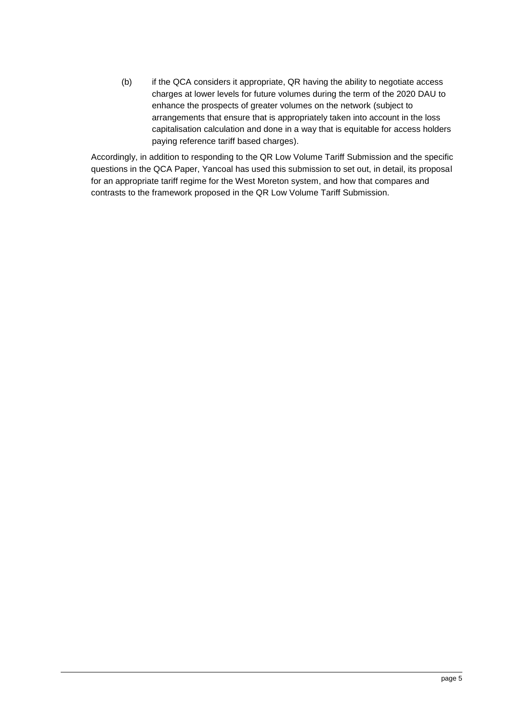(b) if the QCA considers it appropriate, QR having the ability to negotiate access charges at lower levels for future volumes during the term of the 2020 DAU to enhance the prospects of greater volumes on the network (subject to arrangements that ensure that is appropriately taken into account in the loss capitalisation calculation and done in a way that is equitable for access holders paying reference tariff based charges).

Accordingly, in addition to responding to the QR Low Volume Tariff Submission and the specific questions in the QCA Paper, Yancoal has used this submission to set out, in detail, its proposal for an appropriate tariff regime for the West Moreton system, and how that compares and contrasts to the framework proposed in the QR Low Volume Tariff Submission.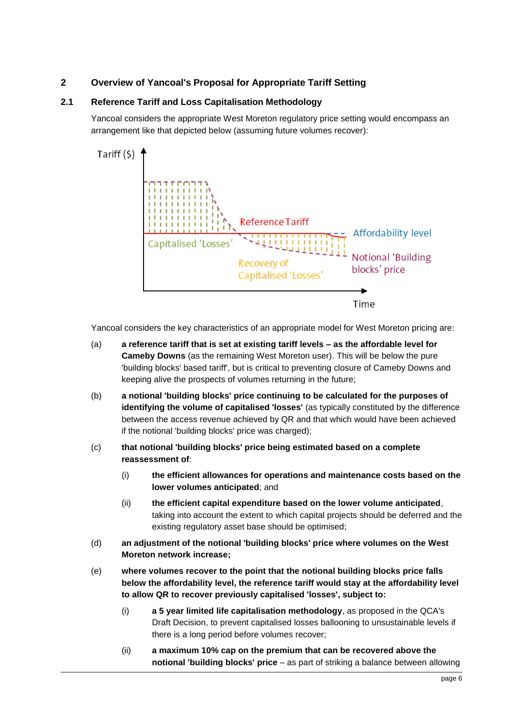# <span id="page-5-0"></span>**2 Overview of Yancoal's Proposal for Appropriate Tariff Setting**

## <span id="page-5-1"></span>**2.1 Reference Tariff and Loss Capitalisation Methodology**

Yancoal considers the appropriate West Moreton regulatory price setting would encompass an arrangement like that depicted below (assuming future volumes recover):



Yancoal considers the key characteristics of an appropriate model for West Moreton pricing are:

- (a) **a reference tariff that is set at existing tariff levels – as the affordable level for Cameby Downs** (as the remaining West Moreton user). This will be below the pure 'building blocks' based tariff', but is critical to preventing closure of Cameby Downs and keeping alive the prospects of volumes returning in the future;
- (b) **a notional 'building blocks' price continuing to be calculated for the purposes of identifying the volume of capitalised 'losses'** (as typically constituted by the difference between the access revenue achieved by QR and that which would have been achieved if the notional 'building blocks' price was charged);
- (c) **that notional 'building blocks' price being estimated based on a complete reassessment of**:
	- (i) **the efficient allowances for operations and maintenance costs based on the lower volumes anticipated**; and
	- (ii) **the efficient capital expenditure based on the lower volume anticipated**, taking into account the extent to which capital projects should be deferred and the existing regulatory asset base should be optimised;
- (d) **an adjustment of the notional 'building blocks' price where volumes on the West Moreton network increase;**
- (e) **where volumes recover to the point that the notional building blocks price falls below the affordability level, the reference tariff would stay at the affordability level to allow QR to recover previously capitalised 'losses', subject to:**
	- (i) **a 5 year limited life capitalisation methodology**, as proposed in the QCA's Draft Decision, to prevent capitalised losses ballooning to unsustainable levels if there is a long period before volumes recover;
	- (ii) **a maximum 10% cap on the premium that can be recovered above the notional 'building blocks' price** – as part of striking a balance between allowing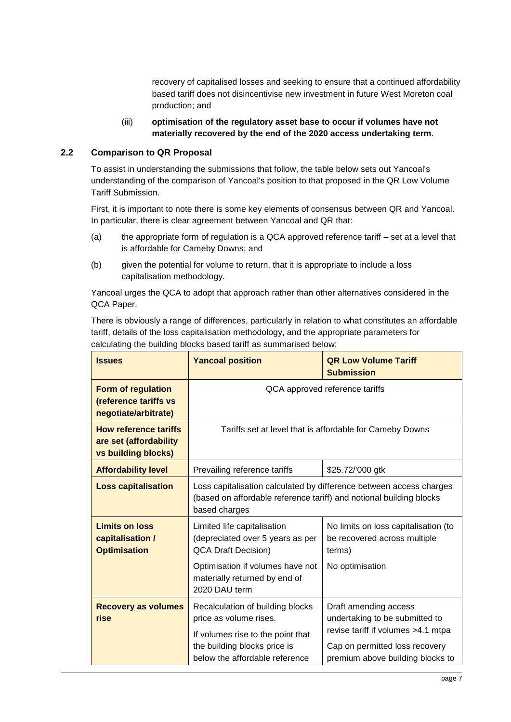recovery of capitalised losses and seeking to ensure that a continued affordability based tariff does not disincentivise new investment in future West Moreton coal production; and

### (iii) **optimisation of the regulatory asset base to occur if volumes have not materially recovered by the end of the 2020 access undertaking term**.

### <span id="page-6-0"></span>**2.2 Comparison to QR Proposal**

To assist in understanding the submissions that follow, the table below sets out Yancoal's understanding of the comparison of Yancoal's position to that proposed in the QR Low Volume Tariff Submission.

First, it is important to note there is some key elements of consensus between QR and Yancoal. In particular, there is clear agreement between Yancoal and QR that:

- (a) the appropriate form of regulation is a QCA approved reference tariff set at a level that is affordable for Cameby Downs; and
- (b) given the potential for volume to return, that it is appropriate to include a loss capitalisation methodology.

Yancoal urges the QCA to adopt that approach rather than other alternatives considered in the QCA Paper.

There is obviously a range of differences, particularly in relation to what constitutes an affordable tariff, details of the loss capitalisation methodology, and the appropriate parameters for calculating the building blocks based tariff as summarised below:

| <b>Issues</b>                                                                 | <b>Yancoal position</b>                                                                                                                                     | <b>QR Low Volume Tariff</b><br><b>Submission</b>                                                  |
|-------------------------------------------------------------------------------|-------------------------------------------------------------------------------------------------------------------------------------------------------------|---------------------------------------------------------------------------------------------------|
| <b>Form of regulation</b><br>(reference tariffs vs<br>negotiate/arbitrate)    |                                                                                                                                                             | QCA approved reference tariffs                                                                    |
| <b>How reference tariffs</b><br>are set (affordability<br>vs building blocks) | Tariffs set at level that is affordable for Cameby Downs                                                                                                    |                                                                                                   |
| <b>Affordability level</b>                                                    | Prevailing reference tariffs                                                                                                                                | \$25.72/'000 gtk                                                                                  |
| <b>Loss capitalisation</b>                                                    | Loss capitalisation calculated by difference between access charges<br>(based on affordable reference tariff) and notional building blocks<br>based charges |                                                                                                   |
| <b>Limits on loss</b><br>capitalisation /<br><b>Optimisation</b>              | Limited life capitalisation<br>(depreciated over 5 years as per<br><b>QCA Draft Decision)</b><br>Optimisation if volumes have not                           | No limits on loss capitalisation (to<br>be recovered across multiple<br>terms)<br>No optimisation |
|                                                                               | materially returned by end of<br>2020 DAU term                                                                                                              |                                                                                                   |
| <b>Recovery as volumes</b><br>rise                                            | Recalculation of building blocks<br>price as volume rises.<br>If volumes rise to the point that                                                             | Draft amending access<br>undertaking to be submitted to<br>revise tariff if volumes >4.1 mtpa     |
|                                                                               | the building blocks price is<br>below the affordable reference                                                                                              | Cap on permitted loss recovery<br>premium above building blocks to                                |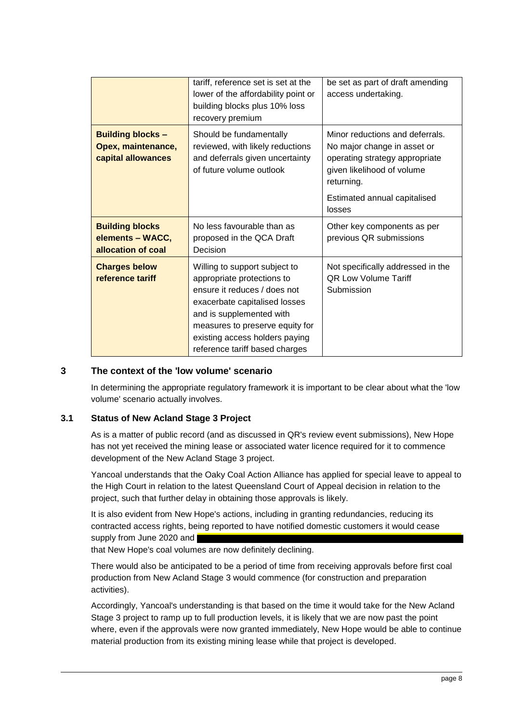|                                                                      | tariff, reference set is set at the<br>lower of the affordability point or<br>building blocks plus 10% loss<br>recovery premium                                                                                                                                 | be set as part of draft amending<br>access undertaking.                                                                                                                      |
|----------------------------------------------------------------------|-----------------------------------------------------------------------------------------------------------------------------------------------------------------------------------------------------------------------------------------------------------------|------------------------------------------------------------------------------------------------------------------------------------------------------------------------------|
| <b>Building blocks -</b><br>Opex, maintenance,<br>capital allowances | Should be fundamentally<br>reviewed, with likely reductions<br>and deferrals given uncertainty<br>of future volume outlook                                                                                                                                      | Minor reductions and deferrals.<br>No major change in asset or<br>operating strategy appropriate<br>given likelihood of volume<br>returning.<br>Estimated annual capitalised |
|                                                                      |                                                                                                                                                                                                                                                                 | losses                                                                                                                                                                       |
| <b>Building blocks</b><br>elements - WACC,<br>allocation of coal     | No less favourable than as<br>proposed in the QCA Draft<br>Decision                                                                                                                                                                                             | Other key components as per<br>previous QR submissions                                                                                                                       |
| <b>Charges below</b><br>reference tariff                             | Willing to support subject to<br>appropriate protections to<br>ensure it reduces / does not<br>exacerbate capitalised losses<br>and is supplemented with<br>measures to preserve equity for<br>existing access holders paying<br>reference tariff based charges | Not specifically addressed in the<br><b>QR Low Volume Tariff</b><br>Submission                                                                                               |

## <span id="page-7-0"></span>**3 The context of the 'low volume' scenario**

In determining the appropriate regulatory framework it is important to be clear about what the 'low volume' scenario actually involves.

### <span id="page-7-1"></span>**3.1 Status of New Acland Stage 3 Project**

As is a matter of public record (and as discussed in QR's review event submissions), New Hope has not yet received the mining lease or associated water licence required for it to commence development of the New Acland Stage 3 project.

Yancoal understands that the Oaky Coal Action Alliance has applied for special leave to appeal to the High Court in relation to the latest Queensland Court of Appeal decision in relation to the project, such that further delay in obtaining those approvals is likely.

It is also evident from New Hope's actions, including in granting redundancies, reducing its contracted access rights, being reported to have notified domestic customers it would cease supply from June 2020 and

that New Hope's coal volumes are now definitely declining.

There would also be anticipated to be a period of time from receiving approvals before first coal production from New Acland Stage 3 would commence (for construction and preparation activities).

Accordingly, Yancoal's understanding is that based on the time it would take for the New Acland Stage 3 project to ramp up to full production levels, it is likely that we are now past the point where, even if the approvals were now granted immediately, New Hope would be able to continue material production from its existing mining lease while that project is developed.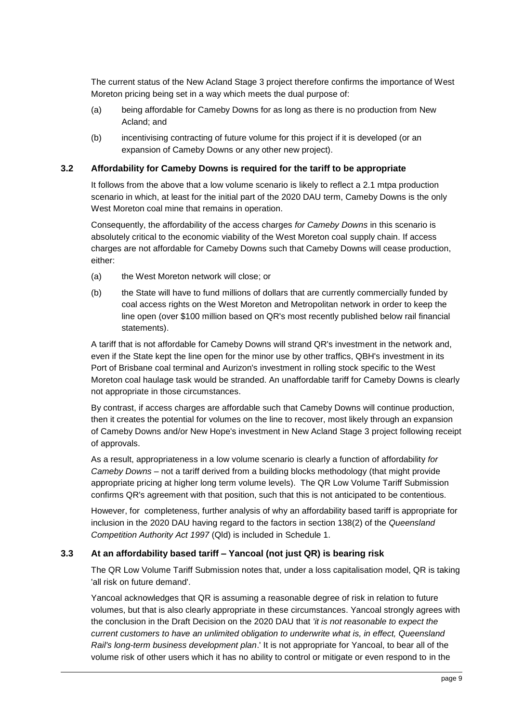The current status of the New Acland Stage 3 project therefore confirms the importance of West Moreton pricing being set in a way which meets the dual purpose of:

- (a) being affordable for Cameby Downs for as long as there is no production from New Acland; and
- (b) incentivising contracting of future volume for this project if it is developed (or an expansion of Cameby Downs or any other new project).

#### <span id="page-8-0"></span>**3.2 Affordability for Cameby Downs is required for the tariff to be appropriate**

It follows from the above that a low volume scenario is likely to reflect a 2.1 mtpa production scenario in which, at least for the initial part of the 2020 DAU term, Cameby Downs is the only West Moreton coal mine that remains in operation.

Consequently, the affordability of the access charges *for Cameby Downs* in this scenario is absolutely critical to the economic viability of the West Moreton coal supply chain. If access charges are not affordable for Cameby Downs such that Cameby Downs will cease production, either:

- (a) the West Moreton network will close; or
- (b) the State will have to fund millions of dollars that are currently commercially funded by coal access rights on the West Moreton and Metropolitan network in order to keep the line open (over \$100 million based on QR's most recently published below rail financial statements).

A tariff that is not affordable for Cameby Downs will strand QR's investment in the network and, even if the State kept the line open for the minor use by other traffics, QBH's investment in its Port of Brisbane coal terminal and Aurizon's investment in rolling stock specific to the West Moreton coal haulage task would be stranded. An unaffordable tariff for Cameby Downs is clearly not appropriate in those circumstances.

By contrast, if access charges are affordable such that Cameby Downs will continue production, then it creates the potential for volumes on the line to recover, most likely through an expansion of Cameby Downs and/or New Hope's investment in New Acland Stage 3 project following receipt of approvals.

As a result, appropriateness in a low volume scenario is clearly a function of affordability *for Cameby Downs* – not a tariff derived from a building blocks methodology (that might provide appropriate pricing at higher long term volume levels). The QR Low Volume Tariff Submission confirms QR's agreement with that position, such that this is not anticipated to be contentious.

However, for completeness, further analysis of why an affordability based tariff is appropriate for inclusion in the 2020 DAU having regard to the factors in section 138(2) of the *Queensland Competition Authority Act 1997* (Qld) is included in [Schedule](#page-20-0) 1.

## <span id="page-8-1"></span>**3.3 At an affordability based tariff – Yancoal (not just QR) is bearing risk**

The QR Low Volume Tariff Submission notes that, under a loss capitalisation model, QR is taking 'all risk on future demand'.

Yancoal acknowledges that QR is assuming a reasonable degree of risk in relation to future volumes, but that is also clearly appropriate in these circumstances. Yancoal strongly agrees with the conclusion in the Draft Decision on the 2020 DAU that *'it is not reasonable to expect the current customers to have an unlimited obligation to underwrite what is, in effect, Queensland Rail's long-term business development plan*.' It is not appropriate for Yancoal, to bear all of the volume risk of other users which it has no ability to control or mitigate or even respond to in the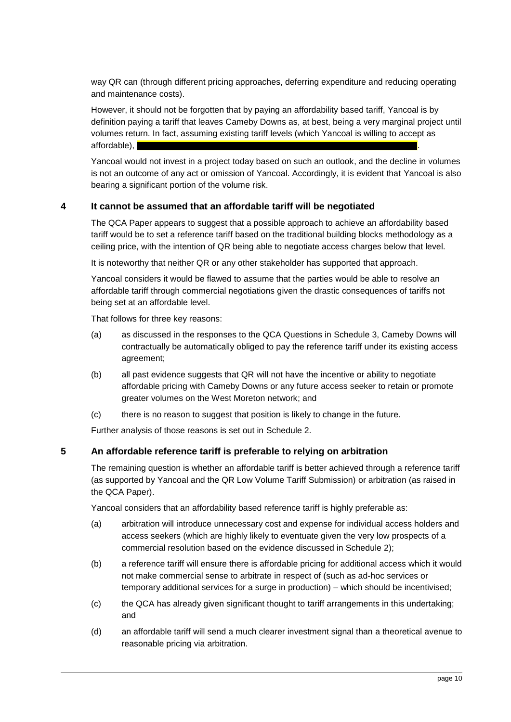way QR can (through different pricing approaches, deferring expenditure and reducing operating and maintenance costs).

However, it should not be forgotten that by paying an affordability based tariff, Yancoal is by definition paying a tariff that leaves Cameby Downs as, at best, being a very marginal project until volumes return. In fact, assuming existing tariff levels (which Yancoal is willing to accept as affordable),

Yancoal would not invest in a project today based on such an outlook, and the decline in volumes is not an outcome of any act or omission of Yancoal. Accordingly, it is evident that Yancoal is also bearing a significant portion of the volume risk.

## <span id="page-9-0"></span>**4 It cannot be assumed that an affordable tariff will be negotiated**

The QCA Paper appears to suggest that a possible approach to achieve an affordability based tariff would be to set a reference tariff based on the traditional building blocks methodology as a ceiling price, with the intention of QR being able to negotiate access charges below that level.

It is noteworthy that neither QR or any other stakeholder has supported that approach.

Yancoal considers it would be flawed to assume that the parties would be able to resolve an affordable tariff through commercial negotiations given the drastic consequences of tariffs not being set at an affordable level.

That follows for three key reasons:

- (a) as discussed in the responses to the QCA Questions in [Schedule](#page-25-0) 3, Cameby Downs will contractually be automatically obliged to pay the reference tariff under its existing access agreement;
- (b) all past evidence suggests that QR will not have the incentive or ability to negotiate affordable pricing with Cameby Downs or any future access seeker to retain or promote greater volumes on the West Moreton network; and
- (c) there is no reason to suggest that position is likely to change in the future.

Further analysis of those reasons is set out in [Schedule](#page-23-0) 2.

## <span id="page-9-1"></span>**5 An affordable reference tariff is preferable to relying on arbitration**

The remaining question is whether an affordable tariff is better achieved through a reference tariff (as supported by Yancoal and the QR Low Volume Tariff Submission) or arbitration (as raised in the QCA Paper).

Yancoal considers that an affordability based reference tariff is highly preferable as:

- (a) arbitration will introduce unnecessary cost and expense for individual access holders and access seekers (which are highly likely to eventuate given the very low prospects of a commercial resolution based on the evidence discussed in [Schedule](#page-23-0) 2);
- (b) a reference tariff will ensure there is affordable pricing for additional access which it would not make commercial sense to arbitrate in respect of (such as ad-hoc services or temporary additional services for a surge in production) – which should be incentivised;
- (c) the QCA has already given significant thought to tariff arrangements in this undertaking; and
- (d) an affordable tariff will send a much clearer investment signal than a theoretical avenue to reasonable pricing via arbitration.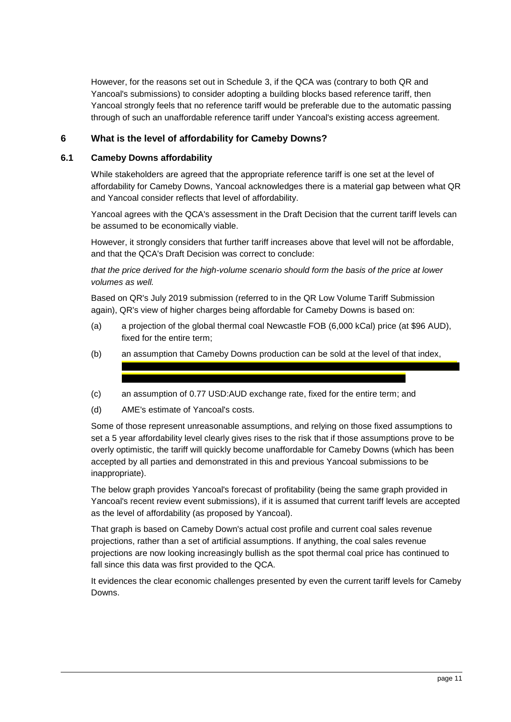However, for the reasons set out in [Schedule](#page-25-0) 3, if the QCA was (contrary to both QR and Yancoal's submissions) to consider adopting a building blocks based reference tariff, then Yancoal strongly feels that no reference tariff would be preferable due to the automatic passing through of such an unaffordable reference tariff under Yancoal's existing access agreement.

# <span id="page-10-0"></span>**6 What is the level of affordability for Cameby Downs?**

### <span id="page-10-1"></span>**6.1 Cameby Downs affordability**

While stakeholders are agreed that the appropriate reference tariff is one set at the level of affordability for Cameby Downs, Yancoal acknowledges there is a material gap between what QR and Yancoal consider reflects that level of affordability.

Yancoal agrees with the QCA's assessment in the Draft Decision that the current tariff levels can be assumed to be economically viable.

However, it strongly considers that further tariff increases above that level will not be affordable, and that the QCA's Draft Decision was correct to conclude:

*that the price derived for the high-volume scenario should form the basis of the price at lower volumes as well.* 

Based on QR's July 2019 submission (referred to in the QR Low Volume Tariff Submission again), QR's view of higher charges being affordable for Cameby Downs is based on:

- (a) a projection of the global thermal coal Newcastle FOB (6,000 kCal) price (at \$96 AUD), fixed for the entire term;
- (b) an assumption that Cameby Downs production can be sold at the level of that index,
- (c) an assumption of 0.77 USD:AUD exchange rate, fixed for the entire term; and
- (d) AME's estimate of Yancoal's costs.

Some of those represent unreasonable assumptions, and relying on those fixed assumptions to set a 5 year affordability level clearly gives rises to the risk that if those assumptions prove to be overly optimistic, the tariff will quickly become unaffordable for Cameby Downs (which has been accepted by all parties and demonstrated in this and previous Yancoal submissions to be inappropriate).

The below graph provides Yancoal's forecast of profitability (being the same graph provided in Yancoal's recent review event submissions), if it is assumed that current tariff levels are accepted as the level of affordability (as proposed by Yancoal).

That graph is based on Cameby Down's actual cost profile and current coal sales revenue projections, rather than a set of artificial assumptions. If anything, the coal sales revenue projections are now looking increasingly bullish as the spot thermal coal price has continued to fall since this data was first provided to the QCA.

It evidences the clear economic challenges presented by even the current tariff levels for Cameby Downs.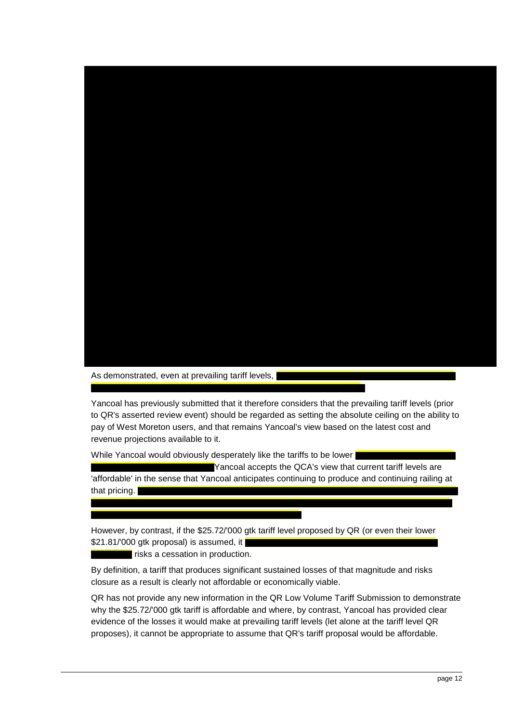

As demonstrated, even at prevailing tariff levels,

Yancoal has previously submitted that it therefore considers that the prevailing tariff levels (prior to QR's asserted review event) should be regarded as setting the absolute ceiling on the ability to pay of West Moreton users, and that remains Yancoal's view based on the latest cost and revenue projections available to it.

While Yancoal would obviously desperately like the tariffs to be lower

Yancoal accepts the QCA's view that current tariff levels are 'affordable' in the sense that Yancoal anticipates continuing to produce and continuing railing at that pricing.  $\blacksquare$ 

However, by contrast, if the \$25.72/'000 gtk tariff level proposed by QR (or even their lower \$21.81/'000 gtk proposal) is assumed, it

risks a cessation in production.

By definition, a tariff that produces significant sustained losses of that magnitude and risks closure as a result is clearly not affordable or economically viable.

QR has not provide any new information in the QR Low Volume Tariff Submission to demonstrate why the \$25.72/'000 gtk tariff is affordable and where, by contrast, Yancoal has provided clear evidence of the losses it would make at prevailing tariff levels (let alone at the tariff level QR proposes), it cannot be appropriate to assume that QR's tariff proposal would be affordable.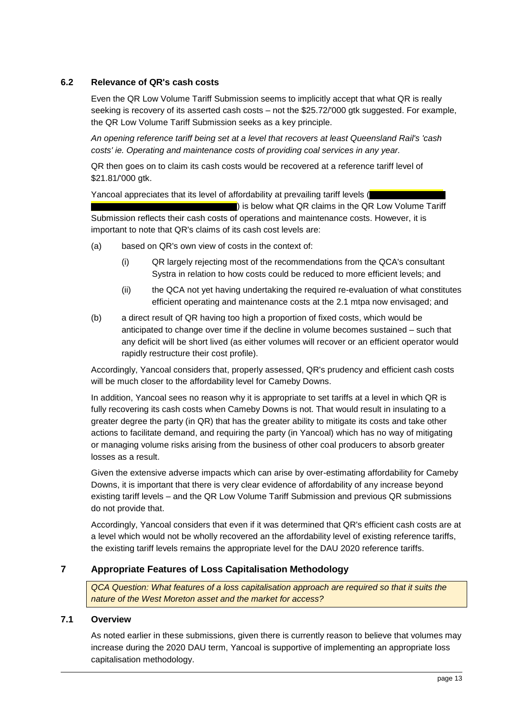## <span id="page-12-0"></span>**6.2 Relevance of QR's cash costs**

Even the QR Low Volume Tariff Submission seems to implicitly accept that what QR is really seeking is recovery of its asserted cash costs – not the \$25.72/'000 gtk suggested. For example, the QR Low Volume Tariff Submission seeks as a key principle.

*An opening reference tariff being set at a level that recovers at least Queensland Rail's 'cash costs' ie. Operating and maintenance costs of providing coal services in any year.*

QR then goes on to claim its cash costs would be recovered at a reference tariff level of \$21.81/'000 gtk.

Yancoal appreciates that its level of affordability at prevailing tariff levels (

) is below what QR claims in the QR Low Volume Tariff Submission reflects their cash costs of operations and maintenance costs. However, it is important to note that QR's claims of its cash cost levels are:

- (a) based on QR's own view of costs in the context of:
	- (i) QR largely rejecting most of the recommendations from the QCA's consultant Systra in relation to how costs could be reduced to more efficient levels; and
	- (ii) the QCA not yet having undertaking the required re-evaluation of what constitutes efficient operating and maintenance costs at the 2.1 mtpa now envisaged; and
- (b) a direct result of QR having too high a proportion of fixed costs, which would be anticipated to change over time if the decline in volume becomes sustained – such that any deficit will be short lived (as either volumes will recover or an efficient operator would rapidly restructure their cost profile).

Accordingly, Yancoal considers that, properly assessed, QR's prudency and efficient cash costs will be much closer to the affordability level for Cameby Downs.

In addition, Yancoal sees no reason why it is appropriate to set tariffs at a level in which QR is fully recovering its cash costs when Cameby Downs is not. That would result in insulating to a greater degree the party (in QR) that has the greater ability to mitigate its costs and take other actions to facilitate demand, and requiring the party (in Yancoal) which has no way of mitigating or managing volume risks arising from the business of other coal producers to absorb greater losses as a result.

Given the extensive adverse impacts which can arise by over-estimating affordability for Cameby Downs, it is important that there is very clear evidence of affordability of any increase beyond existing tariff levels – and the QR Low Volume Tariff Submission and previous QR submissions do not provide that.

Accordingly, Yancoal considers that even if it was determined that QR's efficient cash costs are at a level which would not be wholly recovered an the affordability level of existing reference tariffs, the existing tariff levels remains the appropriate level for the DAU 2020 reference tariffs.

## <span id="page-12-1"></span>**7 Appropriate Features of Loss Capitalisation Methodology**

*QCA Question: What features of a loss capitalisation approach are required so that it suits the nature of the West Moreton asset and the market for access?*

## <span id="page-12-2"></span>**7.1 Overview**

As noted earlier in these submissions, given there is currently reason to believe that volumes may increase during the 2020 DAU term, Yancoal is supportive of implementing an appropriate loss capitalisation methodology.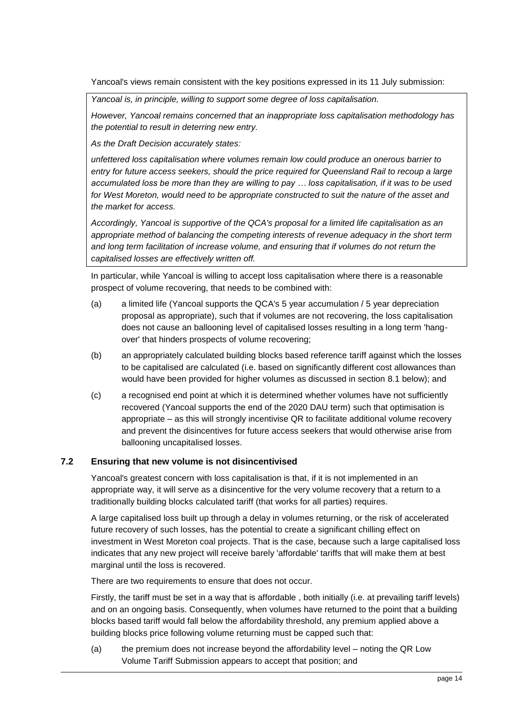Yancoal's views remain consistent with the key positions expressed in its 11 July submission:

*Yancoal is, in principle, willing to support some degree of loss capitalisation.* 

*However, Yancoal remains concerned that an inappropriate loss capitalisation methodology has the potential to result in deterring new entry.* 

*As the Draft Decision accurately states:* 

*unfettered loss capitalisation where volumes remain low could produce an onerous barrier to entry for future access seekers, should the price required for Queensland Rail to recoup a large accumulated loss be more than they are willing to pay … loss capitalisation, if it was to be used for West Moreton, would need to be appropriate constructed to suit the nature of the asset and the market for access.* 

*Accordingly, Yancoal is supportive of the QCA's proposal for a limited life capitalisation as an appropriate method of balancing the competing interests of revenue adequacy in the short term and long term facilitation of increase volume, and ensuring that if volumes do not return the capitalised losses are effectively written off.* 

In particular, while Yancoal is willing to accept loss capitalisation where there is a reasonable prospect of volume recovering, that needs to be combined with:

- (a) a limited life (Yancoal supports the QCA's 5 year accumulation / 5 year depreciation proposal as appropriate), such that if volumes are not recovering, the loss capitalisation does not cause an ballooning level of capitalised losses resulting in a long term 'hangover' that hinders prospects of volume recovering;
- (b) an appropriately calculated building blocks based reference tariff against which the losses to be capitalised are calculated (i.e. based on significantly different cost allowances than would have been provided for higher volumes as discussed in section [8.1](#page-16-1) below); and
- (c) a recognised end point at which it is determined whether volumes have not sufficiently recovered (Yancoal supports the end of the 2020 DAU term) such that optimisation is appropriate – as this will strongly incentivise QR to facilitate additional volume recovery and prevent the disincentives for future access seekers that would otherwise arise from ballooning uncapitalised losses.

## <span id="page-13-0"></span>**7.2 Ensuring that new volume is not disincentivised**

Yancoal's greatest concern with loss capitalisation is that, if it is not implemented in an appropriate way, it will serve as a disincentive for the very volume recovery that a return to a traditionally building blocks calculated tariff (that works for all parties) requires.

A large capitalised loss built up through a delay in volumes returning, or the risk of accelerated future recovery of such losses, has the potential to create a significant chilling effect on investment in West Moreton coal projects. That is the case, because such a large capitalised loss indicates that any new project will receive barely 'affordable' tariffs that will make them at best marginal until the loss is recovered.

There are two requirements to ensure that does not occur.

Firstly, the tariff must be set in a way that is affordable , both initially (i.e. at prevailing tariff levels) and on an ongoing basis. Consequently, when volumes have returned to the point that a building blocks based tariff would fall below the affordability threshold, any premium applied above a building blocks price following volume returning must be capped such that:

(a) the premium does not increase beyond the affordability level – noting the QR Low Volume Tariff Submission appears to accept that position; and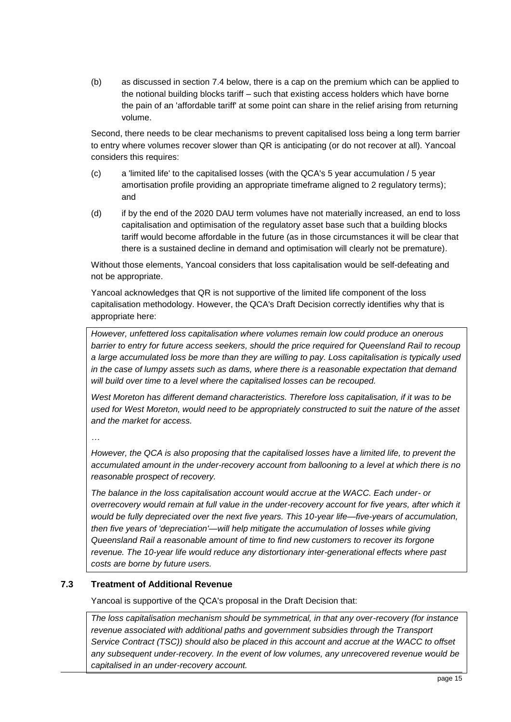(b) as discussed in section [7.4](#page-15-0) below, there is a cap on the premium which can be applied to the notional building blocks tariff – such that existing access holders which have borne the pain of an 'affordable tariff' at some point can share in the relief arising from returning volume.

Second, there needs to be clear mechanisms to prevent capitalised loss being a long term barrier to entry where volumes recover slower than QR is anticipating (or do not recover at all). Yancoal considers this requires:

- (c) a 'limited life' to the capitalised losses (with the QCA's 5 year accumulation / 5 year amortisation profile providing an appropriate timeframe aligned to 2 regulatory terms); and
- (d) if by the end of the 2020 DAU term volumes have not materially increased, an end to loss capitalisation and optimisation of the regulatory asset base such that a building blocks tariff would become affordable in the future (as in those circumstances it will be clear that there is a sustained decline in demand and optimisation will clearly not be premature).

Without those elements, Yancoal considers that loss capitalisation would be self-defeating and not be appropriate.

Yancoal acknowledges that QR is not supportive of the limited life component of the loss capitalisation methodology. However, the QCA's Draft Decision correctly identifies why that is appropriate here:

*However, unfettered loss capitalisation where volumes remain low could produce an onerous barrier to entry for future access seekers, should the price required for Queensland Rail to recoup a large accumulated loss be more than they are willing to pay. Loss capitalisation is typically used in the case of lumpy assets such as dams, where there is a reasonable expectation that demand will build over time to a level where the capitalised losses can be recouped.*

*West Moreton has different demand characteristics. Therefore loss capitalisation, if it was to be used for West Moreton, would need to be appropriately constructed to suit the nature of the asset and the market for access.*

*…*

*However, the QCA is also proposing that the capitalised losses have a limited life, to prevent the accumulated amount in the under-recovery account from ballooning to a level at which there is no reasonable prospect of recovery.*

*The balance in the loss capitalisation account would accrue at the WACC. Each under- or overrecovery would remain at full value in the under-recovery account for five years, after which it would be fully depreciated over the next five years. This 10-year life—five-years of accumulation, then five years of 'depreciation'—will help mitigate the accumulation of losses while giving Queensland Rail a reasonable amount of time to find new customers to recover its forgone revenue. The 10-year life would reduce any distortionary inter-generational effects where past costs are borne by future users.*

## <span id="page-14-0"></span>**7.3 Treatment of Additional Revenue**

Yancoal is supportive of the QCA's proposal in the Draft Decision that:

*The loss capitalisation mechanism should be symmetrical, in that any over-recovery (for instance revenue associated with additional paths and government subsidies through the Transport Service Contract (TSC)) should also be placed in this account and accrue at the WACC to offset any subsequent under-recovery. In the event of low volumes, any unrecovered revenue would be capitalised in an under-recovery account.*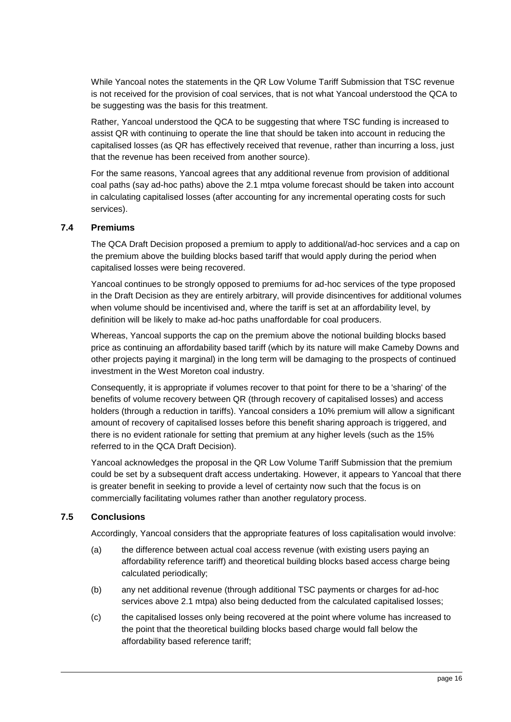While Yancoal notes the statements in the QR Low Volume Tariff Submission that TSC revenue is not received for the provision of coal services, that is not what Yancoal understood the QCA to be suggesting was the basis for this treatment.

Rather, Yancoal understood the QCA to be suggesting that where TSC funding is increased to assist QR with continuing to operate the line that should be taken into account in reducing the capitalised losses (as QR has effectively received that revenue, rather than incurring a loss, just that the revenue has been received from another source).

For the same reasons, Yancoal agrees that any additional revenue from provision of additional coal paths (say ad-hoc paths) above the 2.1 mtpa volume forecast should be taken into account in calculating capitalised losses (after accounting for any incremental operating costs for such services).

### <span id="page-15-0"></span>**7.4 Premiums**

The QCA Draft Decision proposed a premium to apply to additional/ad-hoc services and a cap on the premium above the building blocks based tariff that would apply during the period when capitalised losses were being recovered.

Yancoal continues to be strongly opposed to premiums for ad-hoc services of the type proposed in the Draft Decision as they are entirely arbitrary, will provide disincentives for additional volumes when volume should be incentivised and, where the tariff is set at an affordability level, by definition will be likely to make ad-hoc paths unaffordable for coal producers.

Whereas, Yancoal supports the cap on the premium above the notional building blocks based price as continuing an affordability based tariff (which by its nature will make Cameby Downs and other projects paying it marginal) in the long term will be damaging to the prospects of continued investment in the West Moreton coal industry.

Consequently, it is appropriate if volumes recover to that point for there to be a 'sharing' of the benefits of volume recovery between QR (through recovery of capitalised losses) and access holders (through a reduction in tariffs). Yancoal considers a 10% premium will allow a significant amount of recovery of capitalised losses before this benefit sharing approach is triggered, and there is no evident rationale for setting that premium at any higher levels (such as the 15% referred to in the QCA Draft Decision).

Yancoal acknowledges the proposal in the QR Low Volume Tariff Submission that the premium could be set by a subsequent draft access undertaking. However, it appears to Yancoal that there is greater benefit in seeking to provide a level of certainty now such that the focus is on commercially facilitating volumes rather than another regulatory process.

## <span id="page-15-1"></span>**7.5 Conclusions**

Accordingly, Yancoal considers that the appropriate features of loss capitalisation would involve:

- (a) the difference between actual coal access revenue (with existing users paying an affordability reference tariff) and theoretical building blocks based access charge being calculated periodically;
- (b) any net additional revenue (through additional TSC payments or charges for ad-hoc services above 2.1 mtpa) also being deducted from the calculated capitalised losses;
- (c) the capitalised losses only being recovered at the point where volume has increased to the point that the theoretical building blocks based charge would fall below the affordability based reference tariff;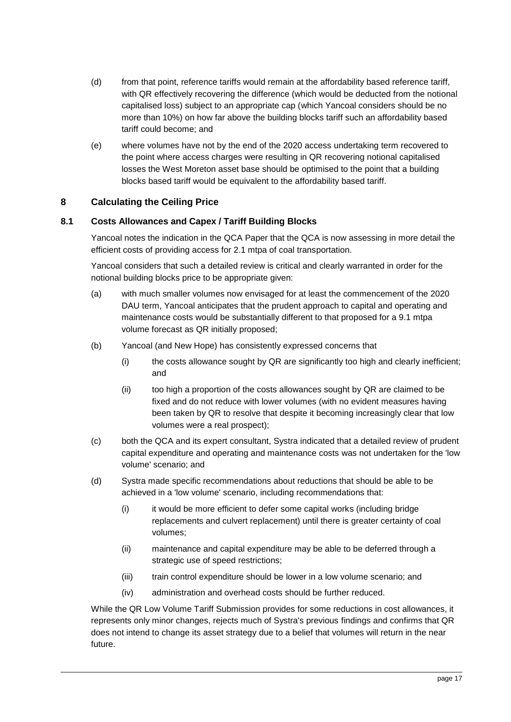- (d) from that point, reference tariffs would remain at the affordability based reference tariff, with QR effectively recovering the difference (which would be deducted from the notional capitalised loss) subject to an appropriate cap (which Yancoal considers should be no more than 10%) on how far above the building blocks tariff such an affordability based tariff could become; and
- (e) where volumes have not by the end of the 2020 access undertaking term recovered to the point where access charges were resulting in QR recovering notional capitalised losses the West Moreton asset base should be optimised to the point that a building blocks based tariff would be equivalent to the affordability based tariff.

# <span id="page-16-0"></span>**8 Calculating the Ceiling Price**

## <span id="page-16-1"></span>**8.1 Costs Allowances and Capex / Tariff Building Blocks**

Yancoal notes the indication in the QCA Paper that the QCA is now assessing in more detail the efficient costs of providing access for 2.1 mtpa of coal transportation.

Yancoal considers that such a detailed review is critical and clearly warranted in order for the notional building blocks price to be appropriate given:

- (a) with much smaller volumes now envisaged for at least the commencement of the 2020 DAU term, Yancoal anticipates that the prudent approach to capital and operating and maintenance costs would be substantially different to that proposed for a 9.1 mtpa volume forecast as QR initially proposed;
- (b) Yancoal (and New Hope) has consistently expressed concerns that
	- (i) the costs allowance sought by QR are significantly too high and clearly inefficient; and
	- (ii) too high a proportion of the costs allowances sought by QR are claimed to be fixed and do not reduce with lower volumes (with no evident measures having been taken by QR to resolve that despite it becoming increasingly clear that low volumes were a real prospect);
- (c) both the QCA and its expert consultant, Systra indicated that a detailed review of prudent capital expenditure and operating and maintenance costs was not undertaken for the 'low volume' scenario; and
- (d) Systra made specific recommendations about reductions that should be able to be achieved in a 'low volume' scenario, including recommendations that:
	- (i) it would be more efficient to defer some capital works (including bridge replacements and culvert replacement) until there is greater certainty of coal volumes;
	- (ii) maintenance and capital expenditure may be able to be deferred through a strategic use of speed restrictions;
	- (iii) train control expenditure should be lower in a low volume scenario; and
	- (iv) administration and overhead costs should be further reduced.

While the QR Low Volume Tariff Submission provides for some reductions in cost allowances, it represents only minor changes, rejects much of Systra's previous findings and confirms that QR does not intend to change its asset strategy due to a belief that volumes will return in the near future.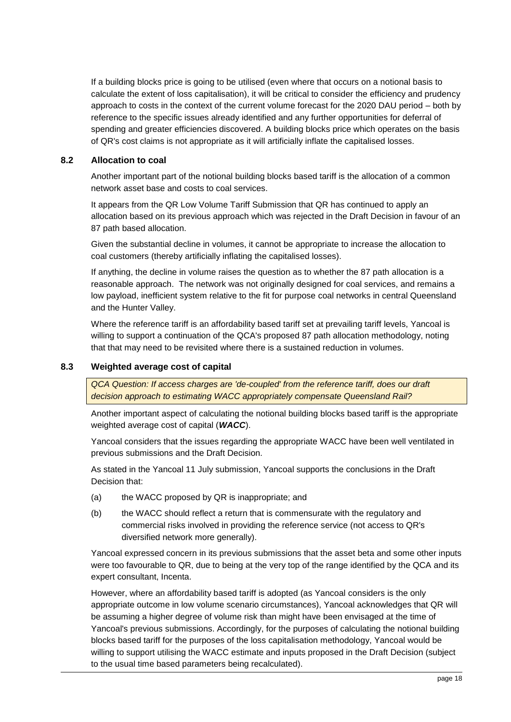If a building blocks price is going to be utilised (even where that occurs on a notional basis to calculate the extent of loss capitalisation), it will be critical to consider the efficiency and prudency approach to costs in the context of the current volume forecast for the 2020 DAU period – both by reference to the specific issues already identified and any further opportunities for deferral of spending and greater efficiencies discovered. A building blocks price which operates on the basis of QR's cost claims is not appropriate as it will artificially inflate the capitalised losses.

## <span id="page-17-0"></span>**8.2 Allocation to coal**

Another important part of the notional building blocks based tariff is the allocation of a common network asset base and costs to coal services.

It appears from the QR Low Volume Tariff Submission that QR has continued to apply an allocation based on its previous approach which was rejected in the Draft Decision in favour of an 87 path based allocation.

Given the substantial decline in volumes, it cannot be appropriate to increase the allocation to coal customers (thereby artificially inflating the capitalised losses).

If anything, the decline in volume raises the question as to whether the 87 path allocation is a reasonable approach. The network was not originally designed for coal services, and remains a low payload, inefficient system relative to the fit for purpose coal networks in central Queensland and the Hunter Valley.

Where the reference tariff is an affordability based tariff set at prevailing tariff levels, Yancoal is willing to support a continuation of the QCA's proposed 87 path allocation methodology, noting that that may need to be revisited where there is a sustained reduction in volumes.

### <span id="page-17-1"></span>**8.3 Weighted average cost of capital**

*QCA Question: If access charges are 'de-coupled' from the reference tariff, does our draft decision approach to estimating WACC appropriately compensate Queensland Rail?*

Another important aspect of calculating the notional building blocks based tariff is the appropriate weighted average cost of capital (*WACC*).

Yancoal considers that the issues regarding the appropriate WACC have been well ventilated in previous submissions and the Draft Decision.

As stated in the Yancoal 11 July submission, Yancoal supports the conclusions in the Draft Decision that:

- (a) the WACC proposed by QR is inappropriate; and
- (b) the WACC should reflect a return that is commensurate with the regulatory and commercial risks involved in providing the reference service (not access to QR's diversified network more generally).

Yancoal expressed concern in its previous submissions that the asset beta and some other inputs were too favourable to QR, due to being at the very top of the range identified by the QCA and its expert consultant, Incenta.

However, where an affordability based tariff is adopted (as Yancoal considers is the only appropriate outcome in low volume scenario circumstances), Yancoal acknowledges that QR will be assuming a higher degree of volume risk than might have been envisaged at the time of Yancoal's previous submissions. Accordingly, for the purposes of calculating the notional building blocks based tariff for the purposes of the loss capitalisation methodology, Yancoal would be willing to support utilising the WACC estimate and inputs proposed in the Draft Decision (subject to the usual time based parameters being recalculated).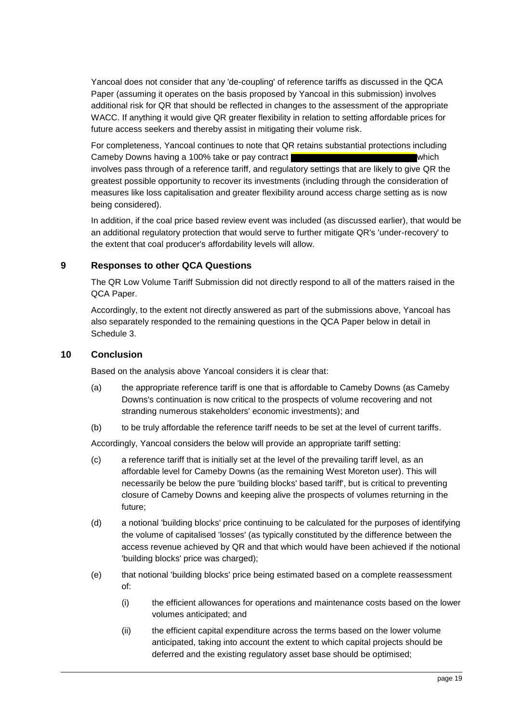Yancoal does not consider that any 'de-coupling' of reference tariffs as discussed in the QCA Paper (assuming it operates on the basis proposed by Yancoal in this submission) involves additional risk for QR that should be reflected in changes to the assessment of the appropriate WACC. If anything it would give QR greater flexibility in relation to setting affordable prices for future access seekers and thereby assist in mitigating their volume risk.

For completeness, Yancoal continues to note that QR retains substantial protections including Cameby Downs having a 100% take or pay contract which which which involves pass through of a reference tariff, and regulatory settings that are likely to give QR the greatest possible opportunity to recover its investments (including through the consideration of measures like loss capitalisation and greater flexibility around access charge setting as is now being considered).

In addition, if the coal price based review event was included (as discussed earlier), that would be an additional regulatory protection that would serve to further mitigate QR's 'under-recovery' to the extent that coal producer's affordability levels will allow.

## <span id="page-18-0"></span>**9 Responses to other QCA Questions**

The QR Low Volume Tariff Submission did not directly respond to all of the matters raised in the QCA Paper.

Accordingly, to the extent not directly answered as part of the submissions above, Yancoal has also separately responded to the remaining questions in the QCA Paper below in detail in [Schedule](#page-25-0) 3.

## <span id="page-18-1"></span>**10 Conclusion**

Based on the analysis above Yancoal considers it is clear that:

- (a) the appropriate reference tariff is one that is affordable to Cameby Downs (as Cameby Downs's continuation is now critical to the prospects of volume recovering and not stranding numerous stakeholders' economic investments); and
- (b) to be truly affordable the reference tariff needs to be set at the level of current tariffs.

Accordingly, Yancoal considers the below will provide an appropriate tariff setting:

- (c) a reference tariff that is initially set at the level of the prevailing tariff level, as an affordable level for Cameby Downs (as the remaining West Moreton user). This will necessarily be below the pure 'building blocks' based tariff', but is critical to preventing closure of Cameby Downs and keeping alive the prospects of volumes returning in the future;
- (d) a notional 'building blocks' price continuing to be calculated for the purposes of identifying the volume of capitalised 'losses' (as typically constituted by the difference between the access revenue achieved by QR and that which would have been achieved if the notional 'building blocks' price was charged);
- (e) that notional 'building blocks' price being estimated based on a complete reassessment of:
	- (i) the efficient allowances for operations and maintenance costs based on the lower volumes anticipated; and
	- (ii) the efficient capital expenditure across the terms based on the lower volume anticipated, taking into account the extent to which capital projects should be deferred and the existing regulatory asset base should be optimised;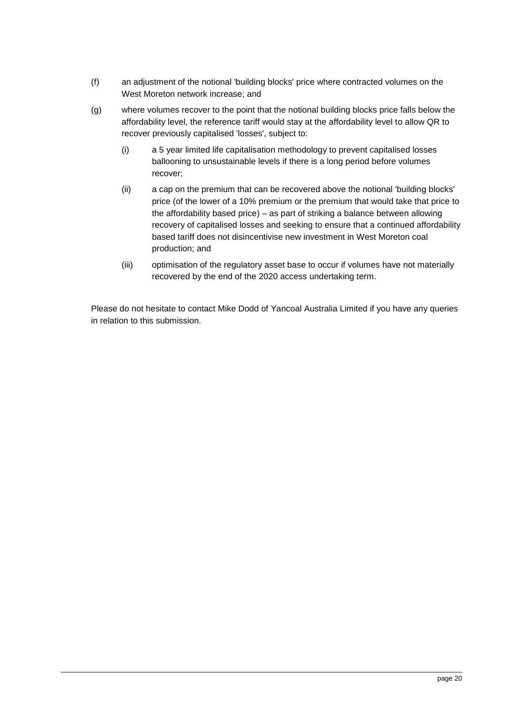- (f) an adjustment of the notional 'building blocks' price where contracted volumes on the West Moreton network increase; and
- (g) where volumes recover to the point that the notional building blocks price falls below the affordability level, the reference tariff would stay at the affordability level to allow QR to recover previously capitalised 'losses', subject to:
	- (i) a 5 year limited life capitalisation methodology to prevent capitalised losses ballooning to unsustainable levels if there is a long period before volumes recover;
	- (ii) a cap on the premium that can be recovered above the notional 'building blocks' price (of the lower of a 10% premium or the premium that would take that price to the affordability based price) – as part of striking a balance between allowing recovery of capitalised losses and seeking to ensure that a continued affordability based tariff does not disincentivise new investment in West Moreton coal production; and
	- (iii) optimisation of the regulatory asset base to occur if volumes have not materially recovered by the end of the 2020 access undertaking term.

Please do not hesitate to contact Mike Dodd of Yancoal Australia Limited if you have any queries in relation to this submission.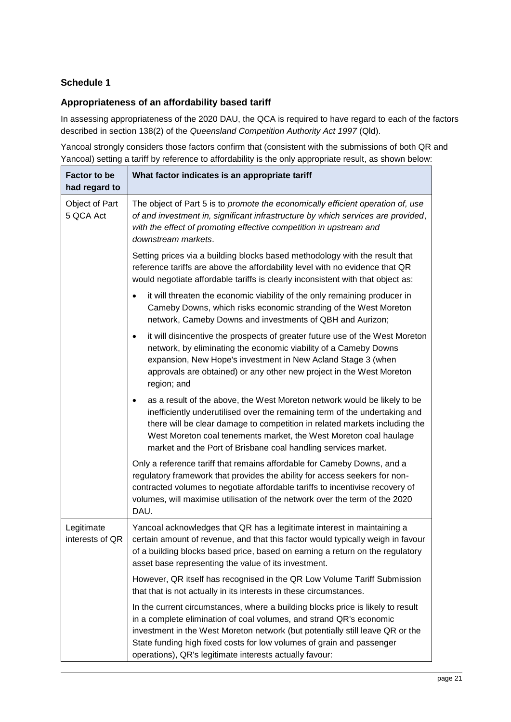# <span id="page-20-0"></span>**Schedule 1**

# <span id="page-20-1"></span>**Appropriateness of an affordability based tariff**

In assessing appropriateness of the 2020 DAU, the QCA is required to have regard to each of the factors described in section 138(2) of the *Queensland Competition Authority Act 1997* (Qld).

Yancoal strongly considers those factors confirm that (consistent with the submissions of both QR and Yancoal) setting a tariff by reference to affordability is the only appropriate result, as shown below:

| <b>Factor to be</b><br>had regard to | What factor indicates is an appropriate tariff                                                                                                                                                                                                                                                                                                                                           |
|--------------------------------------|------------------------------------------------------------------------------------------------------------------------------------------------------------------------------------------------------------------------------------------------------------------------------------------------------------------------------------------------------------------------------------------|
| Object of Part<br>5 QCA Act          | The object of Part 5 is to promote the economically efficient operation of, use<br>of and investment in, significant infrastructure by which services are provided,<br>with the effect of promoting effective competition in upstream and<br>downstream markets.                                                                                                                         |
|                                      | Setting prices via a building blocks based methodology with the result that<br>reference tariffs are above the affordability level with no evidence that QR<br>would negotiate affordable tariffs is clearly inconsistent with that object as:                                                                                                                                           |
|                                      | it will threaten the economic viability of the only remaining producer in<br>Cameby Downs, which risks economic stranding of the West Moreton<br>network, Cameby Downs and investments of QBH and Aurizon;                                                                                                                                                                               |
|                                      | it will disincentive the prospects of greater future use of the West Moreton<br>٠<br>network, by eliminating the economic viability of a Cameby Downs<br>expansion, New Hope's investment in New Acland Stage 3 (when<br>approvals are obtained) or any other new project in the West Moreton<br>region; and                                                                             |
|                                      | as a result of the above, the West Moreton network would be likely to be<br>$\bullet$<br>inefficiently underutilised over the remaining term of the undertaking and<br>there will be clear damage to competition in related markets including the<br>West Moreton coal tenements market, the West Moreton coal haulage<br>market and the Port of Brisbane coal handling services market. |
|                                      | Only a reference tariff that remains affordable for Cameby Downs, and a<br>regulatory framework that provides the ability for access seekers for non-<br>contracted volumes to negotiate affordable tariffs to incentivise recovery of<br>volumes, will maximise utilisation of the network over the term of the 2020<br>DAU.                                                            |
| Legitimate<br>interests of QR        | Yancoal acknowledges that QR has a legitimate interest in maintaining a<br>certain amount of revenue, and that this factor would typically weigh in favour<br>of a building blocks based price, based on earning a return on the regulatory<br>asset base representing the value of its investment.                                                                                      |
|                                      | However, QR itself has recognised in the QR Low Volume Tariff Submission<br>that that is not actually in its interests in these circumstances.                                                                                                                                                                                                                                           |
|                                      | In the current circumstances, where a building blocks price is likely to result<br>in a complete elimination of coal volumes, and strand QR's economic<br>investment in the West Moreton network (but potentially still leave QR or the<br>State funding high fixed costs for low volumes of grain and passenger<br>operations), QR's legitimate interests actually favour:              |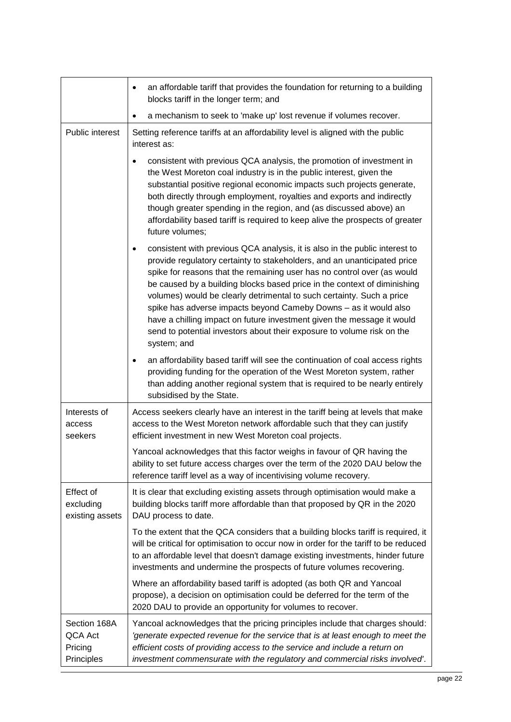|                                                  | an affordable tariff that provides the foundation for returning to a building<br>$\bullet$<br>blocks tariff in the longer term; and                                                                                                                                                                                                                                                                                                                                                                                                                                                                                                         |
|--------------------------------------------------|---------------------------------------------------------------------------------------------------------------------------------------------------------------------------------------------------------------------------------------------------------------------------------------------------------------------------------------------------------------------------------------------------------------------------------------------------------------------------------------------------------------------------------------------------------------------------------------------------------------------------------------------|
|                                                  | a mechanism to seek to 'make up' lost revenue if volumes recover.<br>٠                                                                                                                                                                                                                                                                                                                                                                                                                                                                                                                                                                      |
| Public interest                                  | Setting reference tariffs at an affordability level is aligned with the public<br>interest as:                                                                                                                                                                                                                                                                                                                                                                                                                                                                                                                                              |
|                                                  | consistent with previous QCA analysis, the promotion of investment in<br>the West Moreton coal industry is in the public interest, given the<br>substantial positive regional economic impacts such projects generate,<br>both directly through employment, royalties and exports and indirectly<br>though greater spending in the region, and (as discussed above) an<br>affordability based tariff is required to keep alive the prospects of greater<br>future volumes;                                                                                                                                                                  |
|                                                  | consistent with previous QCA analysis, it is also in the public interest to<br>$\bullet$<br>provide regulatory certainty to stakeholders, and an unanticipated price<br>spike for reasons that the remaining user has no control over (as would<br>be caused by a building blocks based price in the context of diminishing<br>volumes) would be clearly detrimental to such certainty. Such a price<br>spike has adverse impacts beyond Cameby Downs - as it would also<br>have a chilling impact on future investment given the message it would<br>send to potential investors about their exposure to volume risk on the<br>system; and |
|                                                  | an affordability based tariff will see the continuation of coal access rights<br>$\bullet$<br>providing funding for the operation of the West Moreton system, rather<br>than adding another regional system that is required to be nearly entirely<br>subsidised by the State.                                                                                                                                                                                                                                                                                                                                                              |
| Interests of<br>access<br>seekers                | Access seekers clearly have an interest in the tariff being at levels that make<br>access to the West Moreton network affordable such that they can justify<br>efficient investment in new West Moreton coal projects.                                                                                                                                                                                                                                                                                                                                                                                                                      |
|                                                  | Yancoal acknowledges that this factor weighs in favour of QR having the<br>ability to set future access charges over the term of the 2020 DAU below the<br>reference tariff level as a way of incentivising volume recovery.                                                                                                                                                                                                                                                                                                                                                                                                                |
| <b>Effect of</b><br>excluding<br>existing assets | It is clear that excluding existing assets through optimisation would make a<br>building blocks tariff more affordable than that proposed by QR in the 2020<br>DAU process to date.                                                                                                                                                                                                                                                                                                                                                                                                                                                         |
|                                                  | To the extent that the QCA considers that a building blocks tariff is required, it<br>will be critical for optimisation to occur now in order for the tariff to be reduced<br>to an affordable level that doesn't damage existing investments, hinder future<br>investments and undermine the prospects of future volumes recovering.                                                                                                                                                                                                                                                                                                       |
|                                                  | Where an affordability based tariff is adopted (as both QR and Yancoal<br>propose), a decision on optimisation could be deferred for the term of the<br>2020 DAU to provide an opportunity for volumes to recover.                                                                                                                                                                                                                                                                                                                                                                                                                          |
| Section 168A<br>QCA Act<br>Pricing<br>Principles | Yancoal acknowledges that the pricing principles include that charges should:<br>'generate expected revenue for the service that is at least enough to meet the<br>efficient costs of providing access to the service and include a return on<br>investment commensurate with the regulatory and commercial risks involved'.                                                                                                                                                                                                                                                                                                                |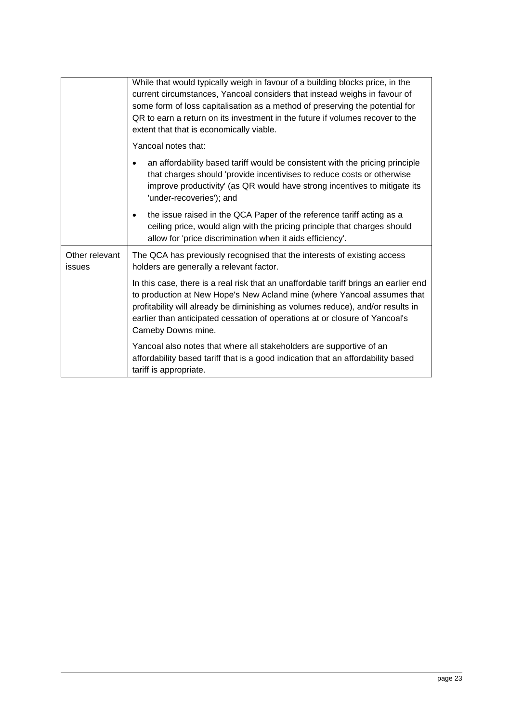|                                 | While that would typically weigh in favour of a building blocks price, in the<br>current circumstances, Yancoal considers that instead weighs in favour of<br>some form of loss capitalisation as a method of preserving the potential for<br>QR to earn a return on its investment in the future if volumes recover to the<br>extent that that is economically viable. |
|---------------------------------|-------------------------------------------------------------------------------------------------------------------------------------------------------------------------------------------------------------------------------------------------------------------------------------------------------------------------------------------------------------------------|
|                                 | Yancoal notes that:                                                                                                                                                                                                                                                                                                                                                     |
|                                 | an affordability based tariff would be consistent with the pricing principle<br>that charges should 'provide incentivises to reduce costs or otherwise<br>improve productivity' (as QR would have strong incentives to mitigate its<br>'under-recoveries'); and                                                                                                         |
|                                 | the issue raised in the QCA Paper of the reference tariff acting as a<br>٠<br>ceiling price, would align with the pricing principle that charges should<br>allow for 'price discrimination when it aids efficiency'.                                                                                                                                                    |
| Other relevant<br><b>issues</b> | The QCA has previously recognised that the interests of existing access<br>holders are generally a relevant factor.                                                                                                                                                                                                                                                     |
|                                 | In this case, there is a real risk that an unaffordable tariff brings an earlier end<br>to production at New Hope's New Acland mine (where Yancoal assumes that<br>profitability will already be diminishing as volumes reduce), and/or results in<br>earlier than anticipated cessation of operations at or closure of Yancoal's<br>Cameby Downs mine.                 |
|                                 | Yancoal also notes that where all stakeholders are supportive of an<br>affordability based tariff that is a good indication that an affordability based<br>tariff is appropriate.                                                                                                                                                                                       |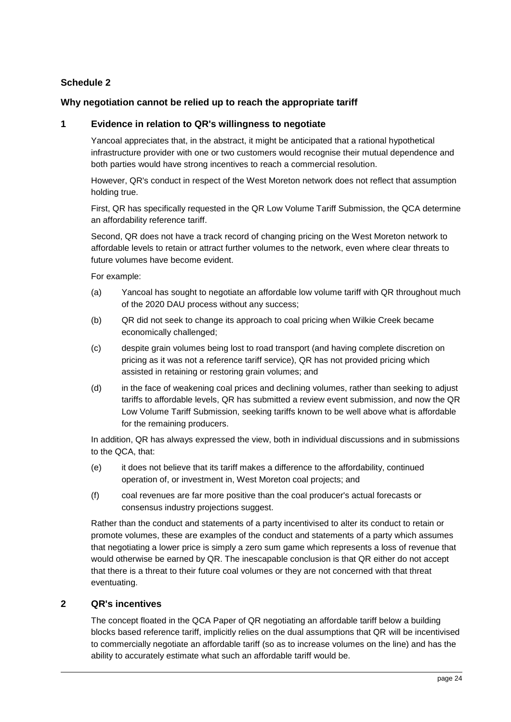# <span id="page-23-0"></span>**Schedule 2**

### <span id="page-23-1"></span>**Why negotiation cannot be relied up to reach the appropriate tariff**

#### **1 Evidence in relation to QR's willingness to negotiate**

Yancoal appreciates that, in the abstract, it might be anticipated that a rational hypothetical infrastructure provider with one or two customers would recognise their mutual dependence and both parties would have strong incentives to reach a commercial resolution.

However, QR's conduct in respect of the West Moreton network does not reflect that assumption holding true.

First, QR has specifically requested in the QR Low Volume Tariff Submission, the QCA determine an affordability reference tariff.

Second, QR does not have a track record of changing pricing on the West Moreton network to affordable levels to retain or attract further volumes to the network, even where clear threats to future volumes have become evident.

For example:

- (a) Yancoal has sought to negotiate an affordable low volume tariff with QR throughout much of the 2020 DAU process without any success;
- (b) QR did not seek to change its approach to coal pricing when Wilkie Creek became economically challenged;
- (c) despite grain volumes being lost to road transport (and having complete discretion on pricing as it was not a reference tariff service), QR has not provided pricing which assisted in retaining or restoring grain volumes; and
- (d) in the face of weakening coal prices and declining volumes, rather than seeking to adjust tariffs to affordable levels, QR has submitted a review event submission, and now the QR Low Volume Tariff Submission, seeking tariffs known to be well above what is affordable for the remaining producers.

In addition, QR has always expressed the view, both in individual discussions and in submissions to the QCA, that:

- (e) it does not believe that its tariff makes a difference to the affordability, continued operation of, or investment in, West Moreton coal projects; and
- (f) coal revenues are far more positive than the coal producer's actual forecasts or consensus industry projections suggest.

Rather than the conduct and statements of a party incentivised to alter its conduct to retain or promote volumes, these are examples of the conduct and statements of a party which assumes that negotiating a lower price is simply a zero sum game which represents a loss of revenue that would otherwise be earned by QR. The inescapable conclusion is that QR either do not accept that there is a threat to their future coal volumes or they are not concerned with that threat eventuating.

## **2 QR's incentives**

The concept floated in the QCA Paper of QR negotiating an affordable tariff below a building blocks based reference tariff, implicitly relies on the dual assumptions that QR will be incentivised to commercially negotiate an affordable tariff (so as to increase volumes on the line) and has the ability to accurately estimate what such an affordable tariff would be.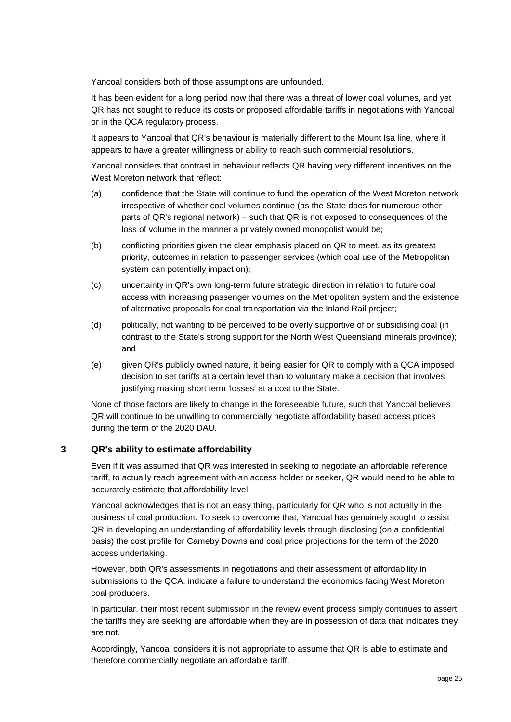Yancoal considers both of those assumptions are unfounded.

It has been evident for a long period now that there was a threat of lower coal volumes, and yet QR has not sought to reduce its costs or proposed affordable tariffs in negotiations with Yancoal or in the QCA regulatory process.

It appears to Yancoal that QR's behaviour is materially different to the Mount Isa line, where it appears to have a greater willingness or ability to reach such commercial resolutions.

Yancoal considers that contrast in behaviour reflects QR having very different incentives on the West Moreton network that reflect:

- (a) confidence that the State will continue to fund the operation of the West Moreton network irrespective of whether coal volumes continue (as the State does for numerous other parts of QR's regional network) – such that QR is not exposed to consequences of the loss of volume in the manner a privately owned monopolist would be;
- (b) conflicting priorities given the clear emphasis placed on QR to meet, as its greatest priority, outcomes in relation to passenger services (which coal use of the Metropolitan system can potentially impact on);
- (c) uncertainty in QR's own long-term future strategic direction in relation to future coal access with increasing passenger volumes on the Metropolitan system and the existence of alternative proposals for coal transportation via the Inland Rail project;
- (d) politically, not wanting to be perceived to be overly supportive of or subsidising coal (in contrast to the State's strong support for the North West Queensland minerals province); and
- (e) given QR's publicly owned nature, it being easier for QR to comply with a QCA imposed decision to set tariffs at a certain level than to voluntary make a decision that involves justifying making short term 'losses' at a cost to the State.

None of those factors are likely to change in the foreseeable future, such that Yancoal believes QR will continue to be unwilling to commercially negotiate affordability based access prices during the term of the 2020 DAU.

## **3 QR's ability to estimate affordability**

Even if it was assumed that QR was interested in seeking to negotiate an affordable reference tariff, to actually reach agreement with an access holder or seeker, QR would need to be able to accurately estimate that affordability level.

Yancoal acknowledges that is not an easy thing, particularly for QR who is not actually in the business of coal production. To seek to overcome that, Yancoal has genuinely sought to assist QR in developing an understanding of affordability levels through disclosing (on a confidential basis) the cost profile for Cameby Downs and coal price projections for the term of the 2020 access undertaking.

However, both QR's assessments in negotiations and their assessment of affordability in submissions to the QCA, indicate a failure to understand the economics facing West Moreton coal producers.

In particular, their most recent submission in the review event process simply continues to assert the tariffs they are seeking are affordable when they are in possession of data that indicates they are not.

Accordingly, Yancoal considers it is not appropriate to assume that QR is able to estimate and therefore commercially negotiate an affordable tariff.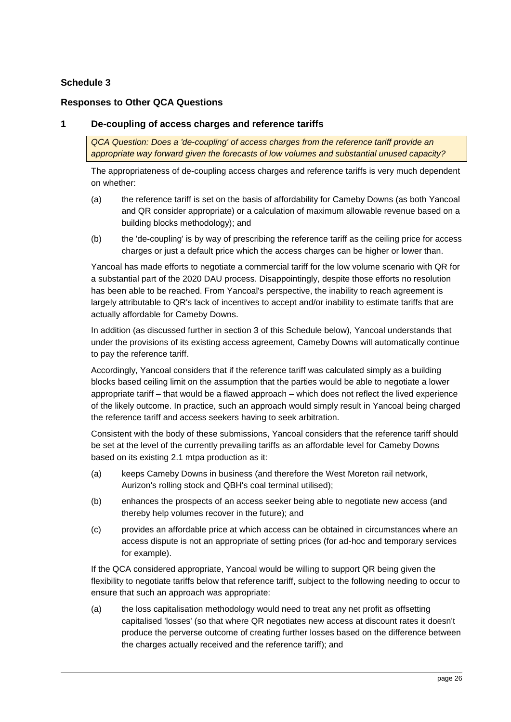# <span id="page-25-0"></span>**Schedule 3**

# <span id="page-25-1"></span>**Responses to Other QCA Questions**

## **1 De-coupling of access charges and reference tariffs**

*QCA Question: Does a 'de-coupling' of access charges from the reference tariff provide an appropriate way forward given the forecasts of low volumes and substantial unused capacity?*

The appropriateness of de-coupling access charges and reference tariffs is very much dependent on whether:

- (a) the reference tariff is set on the basis of affordability for Cameby Downs (as both Yancoal and QR consider appropriate) or a calculation of maximum allowable revenue based on a building blocks methodology); and
- (b) the 'de-coupling' is by way of prescribing the reference tariff as the ceiling price for access charges or just a default price which the access charges can be higher or lower than.

Yancoal has made efforts to negotiate a commercial tariff for the low volume scenario with QR for a substantial part of the 2020 DAU process. Disappointingly, despite those efforts no resolution has been able to be reached. From Yancoal's perspective, the inability to reach agreement is largely attributable to QR's lack of incentives to accept and/or inability to estimate tariffs that are actually affordable for Cameby Downs.

In addition (as discussed further in section [3](#page-26-0) of this Schedule below), Yancoal understands that under the provisions of its existing access agreement, Cameby Downs will automatically continue to pay the reference tariff.

Accordingly, Yancoal considers that if the reference tariff was calculated simply as a building blocks based ceiling limit on the assumption that the parties would be able to negotiate a lower appropriate tariff – that would be a flawed approach – which does not reflect the lived experience of the likely outcome. In practice, such an approach would simply result in Yancoal being charged the reference tariff and access seekers having to seek arbitration.

Consistent with the body of these submissions, Yancoal considers that the reference tariff should be set at the level of the currently prevailing tariffs as an affordable level for Cameby Downs based on its existing 2.1 mtpa production as it:

- (a) keeps Cameby Downs in business (and therefore the West Moreton rail network, Aurizon's rolling stock and QBH's coal terminal utilised);
- (b) enhances the prospects of an access seeker being able to negotiate new access (and thereby help volumes recover in the future); and
- (c) provides an affordable price at which access can be obtained in circumstances where an access dispute is not an appropriate of setting prices (for ad-hoc and temporary services for example).

If the QCA considered appropriate, Yancoal would be willing to support QR being given the flexibility to negotiate tariffs below that reference tariff, subject to the following needing to occur to ensure that such an approach was appropriate:

(a) the loss capitalisation methodology would need to treat any net profit as offsetting capitalised 'losses' (so that where QR negotiates new access at discount rates it doesn't produce the perverse outcome of creating further losses based on the difference between the charges actually received and the reference tariff); and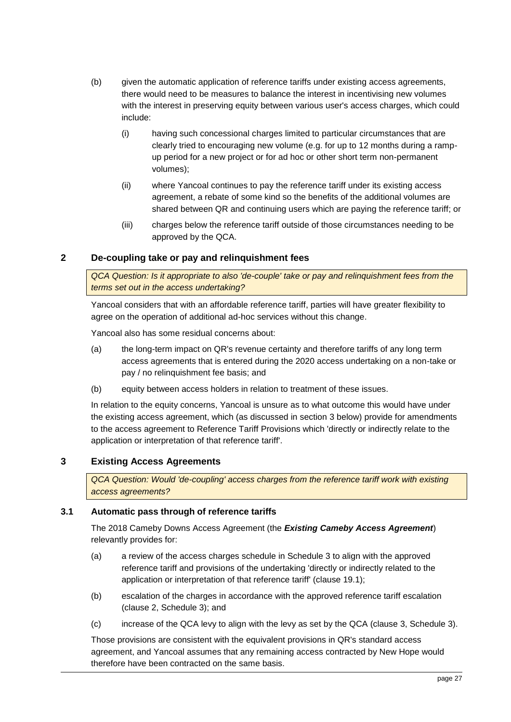- (b) given the automatic application of reference tariffs under existing access agreements, there would need to be measures to balance the interest in incentivising new volumes with the interest in preserving equity between various user's access charges, which could include:
	- (i) having such concessional charges limited to particular circumstances that are clearly tried to encouraging new volume (e.g. for up to 12 months during a rampup period for a new project or for ad hoc or other short term non-permanent volumes);
	- (ii) where Yancoal continues to pay the reference tariff under its existing access agreement, a rebate of some kind so the benefits of the additional volumes are shared between QR and continuing users which are paying the reference tariff; or
	- (iii) charges below the reference tariff outside of those circumstances needing to be approved by the QCA.

# **2 De-coupling take or pay and relinquishment fees**

*QCA Question: Is it appropriate to also 'de-couple' take or pay and relinquishment fees from the terms set out in the access undertaking?*

Yancoal considers that with an affordable reference tariff, parties will have greater flexibility to agree on the operation of additional ad-hoc services without this change.

Yancoal also has some residual concerns about:

- (a) the long-term impact on QR's revenue certainty and therefore tariffs of any long term access agreements that is entered during the 2020 access undertaking on a non-take or pay / no relinquishment fee basis; and
- (b) equity between access holders in relation to treatment of these issues.

In relation to the equity concerns, Yancoal is unsure as to what outcome this would have under the existing access agreement, which (as discussed in section [3](#page-26-0) below) provide for amendments to the access agreement to Reference Tariff Provisions which 'directly or indirectly relate to the application or interpretation of that reference tariff'.

## <span id="page-26-0"></span>**3 Existing Access Agreements**

*QCA Question: Would 'de-coupling' access charges from the reference tariff work with existing access agreements?*

## **3.1 Automatic pass through of reference tariffs**

The 2018 Cameby Downs Access Agreement (the *Existing Cameby Access Agreement*) relevantly provides for:

- (a) a review of the access charges schedule in Schedule 3 to align with the approved reference tariff and provisions of the undertaking 'directly or indirectly related to the application or interpretation of that reference tariff' (clause 19.1);
- (b) escalation of the charges in accordance with the approved reference tariff escalation (clause 2, Schedule 3); and
- (c) increase of the QCA levy to align with the levy as set by the QCA (clause 3, Schedule 3).

Those provisions are consistent with the equivalent provisions in QR's standard access agreement, and Yancoal assumes that any remaining access contracted by New Hope would therefore have been contracted on the same basis.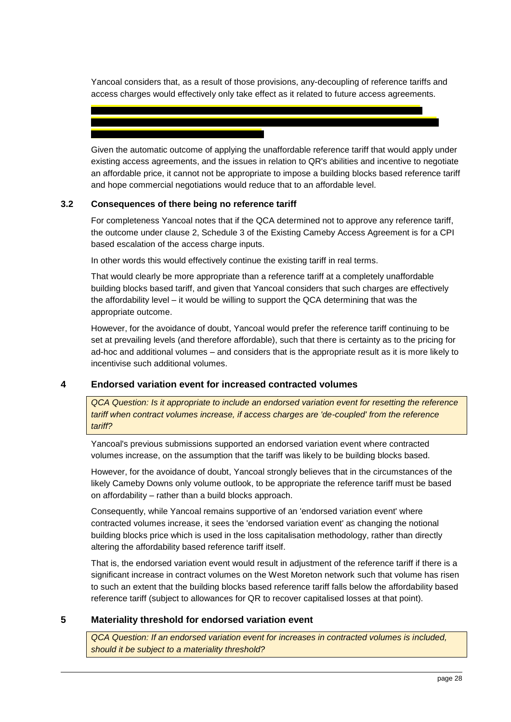Yancoal considers that, as a result of those provisions, any-decoupling of reference tariffs and access charges would effectively only take effect as it related to future access agreements.

Given the automatic outcome of applying the unaffordable reference tariff that would apply under existing access agreements, and the issues in relation to QR's abilities and incentive to negotiate an affordable price, it cannot not be appropriate to impose a building blocks based reference tariff and hope commercial negotiations would reduce that to an affordable level.

### **3.2 Consequences of there being no reference tariff**

For completeness Yancoal notes that if the QCA determined not to approve any reference tariff, the outcome under clause 2, Schedule 3 of the Existing Cameby Access Agreement is for a CPI based escalation of the access charge inputs.

In other words this would effectively continue the existing tariff in real terms.

That would clearly be more appropriate than a reference tariff at a completely unaffordable building blocks based tariff, and given that Yancoal considers that such charges are effectively the affordability level – it would be willing to support the QCA determining that was the appropriate outcome.

However, for the avoidance of doubt, Yancoal would prefer the reference tariff continuing to be set at prevailing levels (and therefore affordable), such that there is certainty as to the pricing for ad-hoc and additional volumes – and considers that is the appropriate result as it is more likely to incentivise such additional volumes.

## **4 Endorsed variation event for increased contracted volumes**

*QCA Question: Is it appropriate to include an endorsed variation event for resetting the reference tariff when contract volumes increase, if access charges are 'de-coupled' from the reference tariff?*

Yancoal's previous submissions supported an endorsed variation event where contracted volumes increase, on the assumption that the tariff was likely to be building blocks based.

However, for the avoidance of doubt, Yancoal strongly believes that in the circumstances of the likely Cameby Downs only volume outlook, to be appropriate the reference tariff must be based on affordability – rather than a build blocks approach.

Consequently, while Yancoal remains supportive of an 'endorsed variation event' where contracted volumes increase, it sees the 'endorsed variation event' as changing the notional building blocks price which is used in the loss capitalisation methodology, rather than directly altering the affordability based reference tariff itself.

That is, the endorsed variation event would result in adjustment of the reference tariff if there is a significant increase in contract volumes on the West Moreton network such that volume has risen to such an extent that the building blocks based reference tariff falls below the affordability based reference tariff (subject to allowances for QR to recover capitalised losses at that point).

## **5 Materiality threshold for endorsed variation event**

*QCA Question: If an endorsed variation event for increases in contracted volumes is included, should it be subject to a materiality threshold?*